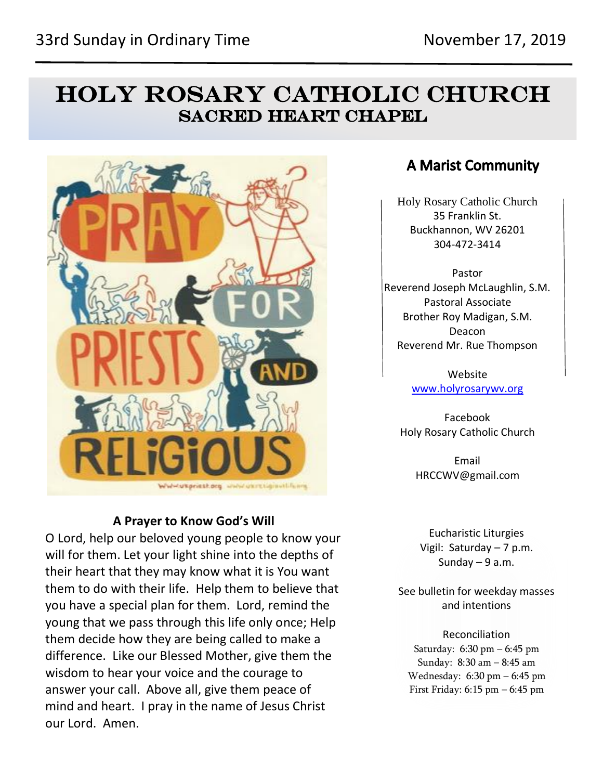# **HOLY ROSARY CATHOLIC CHURCH SACRED HEART CHAPEL**



## **A Prayer to Know God's Will**

O Lord, help our beloved young people to know your will for them. Let your light shine into the depths of their heart that they may know what it is You want them to do with their life. Help them to believe that you have a special plan for them. Lord, remind the young that we pass through this life only once; Help them decide how they are being called to make a difference. Like our Blessed Mother, give them the wisdom to hear your voice and the courage to answer your call. Above all, give them peace of mind and heart. I pray in the name of Jesus Christ our Lord. Amen.

## **A Marist Community**

Holy Rosary Catholic Church 35 Franklin St. Buckhannon, WV 26201 304-472-3414

Pastor Reverend Joseph McLaughlin, S.M. Pastoral Associate Brother Roy Madigan, S.M. Deacon Reverend Mr. Rue Thompson

> Website [www.holyrosarywv.org](http://www.holyrosarywv.org/)

Facebook Holy Rosary Catholic Church

> Email HRCCWV@gmail.com

Eucharistic Liturgies Vigil: Saturday – 7 p.m. Sunday  $-9$  a.m.

See bulletin for weekday masses and intentions

Reconciliation Saturday: 6:30 pm – 6:45 pm Sunday: 8:30 am – 8:45 am Wednesday: 6:30 pm – 6:45 pm First Friday: 6:15 pm – 6:45 pm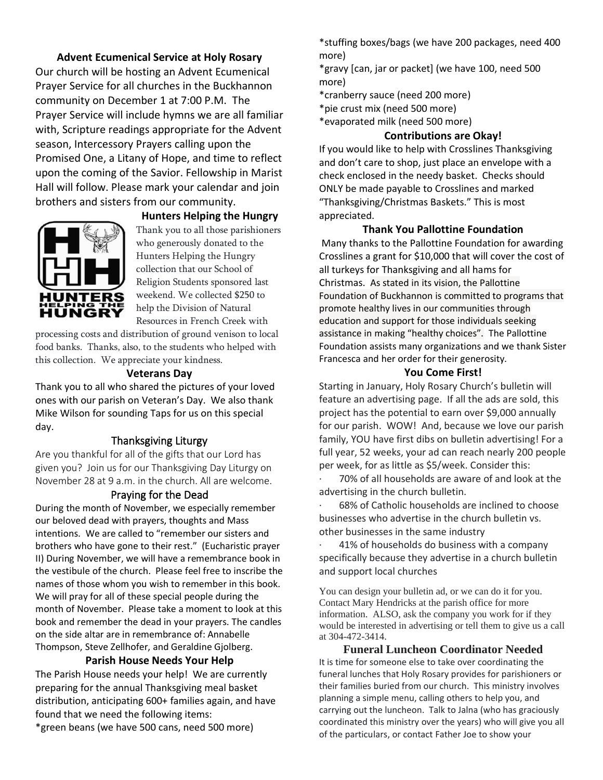## **Advent Ecumenical Service at Holy Rosary**

Our church will be hosting an Advent Ecumenical Prayer Service for all churches in the Buckhannon community on December 1 at 7:00 P.M. The Prayer Service will include hymns we are all familiar with, Scripture readings appropriate for the Advent season, Intercessory Prayers calling upon the Promised One, a Litany of Hope, and time to reflect upon the coming of the Savior. Fellowship in Marist Hall will follow. Please mark your calendar and join brothers and sisters from our community.



#### **Hunters Helping the Hungry**

Thank you to all those parishioners who generously donated to the Hunters Helping the Hungry collection that our School of Religion Students sponsored last weekend. We collected \$250 to help the Division of Natural Resources in French Creek with

processing costs and distribution of ground venison to local food banks. Thanks, also, to the students who helped with this collection. We appreciate your kindness.

#### **Veterans Day**

Thank you to all who shared the pictures of your loved ones with our parish on Veteran's Day. We also thank Mike Wilson for sounding Taps for us on this special day.

#### Thanksgiving Liturgy

Are you thankful for all of the gifts that our Lord has given you? Join us for our Thanksgiving Day Liturgy on November 28 at 9 a.m. in the church. All are welcome.

#### Praying for the Dead

During the month of November, we especially remember our beloved dead with prayers, thoughts and Mass intentions. We are called to "remember our sisters and brothers who have gone to their rest." (Eucharistic prayer II) During November, we will have a remembrance book in the vestibule of the church. Please feel free to inscribe the names of those whom you wish to remember in this book. We will pray for all of these special people during the month of November. Please take a moment to look at this book and remember the dead in your prayers. The candles on the side altar are in remembrance of: Annabelle Thompson, Steve Zellhofer, and Geraldine Gjolberg.

#### **Parish House Needs Your Help**

The Parish House needs your help! We are currently preparing for the annual Thanksgiving meal basket distribution, anticipating 600+ families again, and have found that we need the following items: \*green beans (we have 500 cans, need 500 more)

\*stuffing boxes/bags (we have 200 packages, need 400 more)

\*gravy [can, jar or packet] (we have 100, need 500 more)

\*cranberry sauce (need 200 more)

\*pie crust mix (need 500 more)

\*evaporated milk (need 500 more)

#### **Contributions are Okay!**

If you would like to help with Crosslines Thanksgiving and don't care to shop, just place an envelope with a check enclosed in the needy basket. Checks should ONLY be made payable to Crosslines and marked "Thanksgiving/Christmas Baskets." This is most appreciated.

#### **Thank You Pallottine Foundation**

Many thanks to the Pallottine Foundation for awarding Crosslines a grant for \$10,000 that will cover the cost of all turkeys for Thanksgiving and all hams for Christmas. As stated in its vision, the Pallottine Foundation of Buckhannon is committed to programs that promote healthy lives in our communities through education and support for those individuals seeking assistance in making "healthy choices". The Pallottine Foundation assists many organizations and we thank Sister Francesca and her order for their generosity.

#### **You Come First!**

Starting in January, Holy Rosary Church's bulletin will feature an advertising page. If all the ads are sold, this project has the potential to earn over \$9,000 annually for our parish. WOW! And, because we love our parish family, YOU have first dibs on bulletin advertising! For a full year, 52 weeks, your ad can reach nearly 200 people per week, for as little as \$5/week. Consider this:

70% of all households are aware of and look at the advertising in the church bulletin.

68% of Catholic households are inclined to choose businesses who advertise in the church bulletin vs. other businesses in the same industry

41% of households do business with a company specifically because they advertise in a church bulletin and support local churches

You can design your bulletin ad, or we can do it for you. Contact Mary Hendricks at the parish office for more information. ALSO, ask the company you work for if they would be interested in advertising or tell them to give us a call at 304-472-3414.

**Funeral Luncheon Coordinator Needed** It is time for someone else to take over coordinating the funeral lunches that Holy Rosary provides for parishioners or their families buried from our church. This ministry involves planning a simple menu, calling others to help you, and carrying out the luncheon. Talk to Jalna (who has graciously coordinated this ministry over the years) who will give you all of the particulars, or contact Father Joe to show your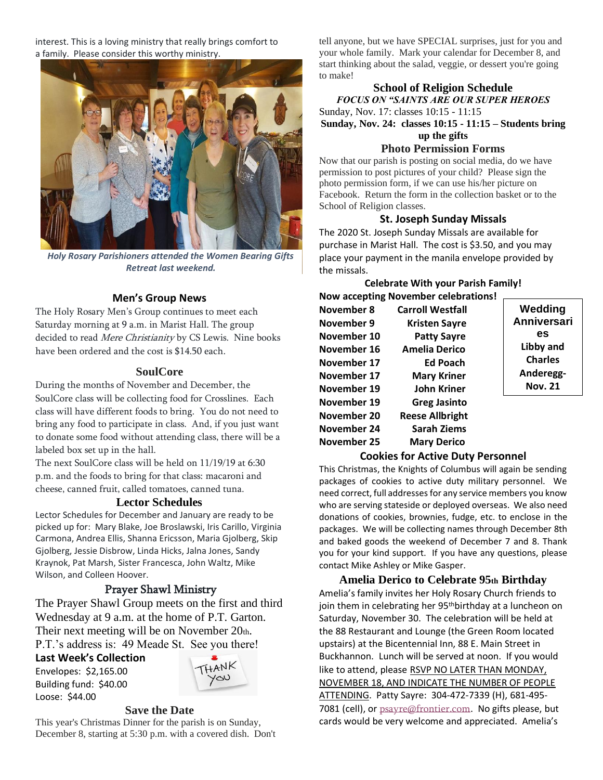interest. This is a loving ministry that really brings comfort to a family. Please consider this worthy ministry.



*Holy Rosary Parishioners attended the Women Bearing Gifts Retreat last weekend.*

#### **Men's Group News**

The Holy Rosary Men's Group continues to meet each Saturday morning at 9 a.m. in Marist Hall. The group decided to read Mere Christianity by CS Lewis. Nine books have been ordered and the cost is \$14.50 each.

#### **SoulCore**

During the months of November and December, the SoulCore class will be collecting food for Crosslines. Each class will have different foods to bring. You do not need to bring any food to participate in class. And, if you just want to donate some food without attending class, there will be a labeled box set up in the hall.

The next SoulCore class will be held on 11/19/19 at 6:30 p.m. and the foods to bring for that class: macaroni and cheese, canned fruit, called tomatoes, canned tuna.

#### **Lector Schedules**

Lector Schedules for December and January are ready to be picked up for: Mary Blake, Joe Broslawski, Iris Carillo, Virginia Carmona, Andrea Ellis, Shanna Ericsson, Maria Gjolberg, Skip Gjolberg, Jessie Disbrow, Linda Hicks, Jalna Jones, Sandy Kraynok, Pat Marsh, Sister Francesca, John Waltz, Mike Wilson, and Colleen Hoover.

### Prayer Shawl Ministry

The Prayer Shawl Group meets on the first and third Wednesday at 9 a.m. at the home of P.T. Garton. Their next meeting will be on November 20th. P.T.'s address is: 49 Meade St. See you there!

#### **Last Week's Collection**

Envelopes: \$2,165.00 Building fund: \$40.00 Loose: \$44.00



#### **Save the Date**

This year's Christmas Dinner for the parish is on Sunday, December 8, starting at 5:30 p.m. with a covered dish. Don't tell anyone, but we have SPECIAL surprises, just for you and your whole family. Mark your calendar for December 8, and start thinking about the salad, veggie, or dessert you're going to make!

## **School of Religion Schedule**

*FOCUS ON "SAINTS ARE OUR SUPER HEROES* Sunday, Nov. 17: classes 10:15 - 11:15 **Sunday, Nov. 24: classes 10:15 - 11:15 – Students bring up the gifts**

## **Photo Permission Forms**

Now that our parish is posting on social media, do we have permission to post pictures of your child? Please sign the photo permission form, if we can use his/her picture on Facebook. Return the form in the collection basket or to the School of Religion classes.

#### **St. Joseph Sunday Missals**

The 2020 St. Joseph Sunday Missals are available for purchase in Marist Hall. The cost is \$3.50, and you may place your payment in the manila envelope provided by the missals.

**Celebrate With your Parish Family!**

|             | <b>Now accepting November celebrations!</b> |                    |
|-------------|---------------------------------------------|--------------------|
| November 8  | <b>Carroll Westfall</b>                     | Wedding            |
| November 9  | <b>Kristen Sayre</b>                        | <b>Anniversari</b> |
| November 10 | <b>Patty Sayre</b>                          | es                 |
| November 16 | <b>Amelia Derico</b>                        | Libby and          |
| November 17 | <b>Ed Poach</b>                             | <b>Charles</b>     |
| November 17 | <b>Mary Kriner</b>                          | Anderegg-          |
| November 19 | John Kriner                                 | <b>Nov. 21</b>     |
| November 19 | <b>Greg Jasinto</b>                         |                    |
| November 20 | <b>Reese Allbright</b>                      |                    |
| November 24 | <b>Sarah Ziems</b>                          |                    |
| November 25 | <b>Mary Derico</b>                          |                    |

#### **Cookies for Active Duty Personnel**

This Christmas, the Knights of Columbus will again be sending packages of cookies to active duty military personnel. We need correct, full addresses for any service members you know who are serving stateside or deployed overseas. We also need donations of cookies, brownies, fudge, etc. to enclose in the packages. We will be collecting names through December 8th and baked goods the weekend of December 7 and 8. Thank you for your kind support. If you have any questions, please contact Mike Ashley or Mike Gasper.

## **Amelia Derico to Celebrate 95th Birthday** Amelia's family invites her Holy Rosary Church friends to join them in celebrating her 95<sup>th</sup>birthday at a luncheon on Saturday, November 30. The celebration will be held at the 88 Restaurant and Lounge (the Green Room located

upstairs) at the Bicentennial Inn, 88 E. Main Street in Buckhannon. Lunch will be served at noon. If you would like to attend, please RSVP NO LATER THAN MONDAY, NOVEMBER 18, AND INDICATE THE NUMBER OF PEOPLE ATTENDING. Patty Sayre: 304-472-7339 (H), 681-495- 7081 (cell), or [psayre@frontier.com](mailto:psayre@frontier.com). No gifts please, but cards would be very welcome and appreciated. Amelia's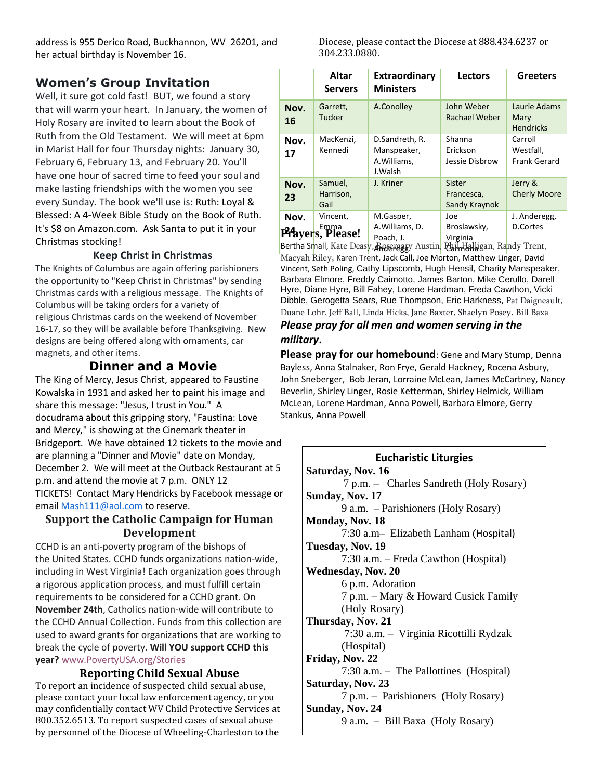address is 955 Derico Road, Buckhannon, WV 26201, and her actual birthday is November 16.

## **Women's Group Invitation**

Well, it sure got cold fast! BUT, we found a story that will warm your heart. In January, the women of Holy Rosary are invited to learn about the Book of Ruth from the Old Testament. We will meet at 6pm in Marist Hall for four Thursday nights: January 30, February 6, February 13, and February 20. You'll have one hour of sacred time to feed your soul and make lasting friendships with the women you see every Sunday. The book we'll use is: Ruth: Loyal & Blessed: A 4-Week Bible Study on the Book of Ruth. It's \$8 on Amazon.com. Ask Santa to put it in your Christmas stocking!

#### **Keep Christ in Christmas**

The Knights of Columbus are again offering parishioners the opportunity to "Keep Christ in Christmas" by sending Christmas cards with a religious message. The Knights of Columbus will be taking orders for a variety of religious Christmas cards on the weekend of November 16-17, so they will be available before Thanksgiving. New designs are being offered along with ornaments, car magnets, and other items.

## **Dinner and a Movie**

The King of Mercy, Jesus Christ, appeared to Faustine Kowalska in 1931 and asked her to paint his image and share this message: "Jesus, I trust in You." A docudrama about this gripping story, "Faustina: Love and Mercy," is showing at the Cinemark theater in Bridgeport. We have obtained 12 tickets to the movie and are planning a "Dinner and Movie" date on Monday, December 2. We will meet at the Outback Restaurant at 5 p.m. and attend the movie at 7 p.m. ONLY 12 TICKETS! Contact Mary Hendricks by Facebook message or email [Mash111@aol.com](mailto:Mash111@aol.com) to reserve.

## **Support the Catholic Campaign for Human Development**

CCHD is an anti-poverty program of the bishops of the United States. CCHD funds organizations nation-wide, including in West Virginia! Each organization goes through a rigorous application process, and must fulfill certain requirements to be considered for a CCHD grant. On **November 24th**, Catholics nation-wide will contribute to the CCHD Annual Collection. Funds from this collection are used to award grants for organizations that are working to break the cycle of poverty. **Will YOU support CCHD this year?** [www.PovertyUSA.org/Stories](http://www.povertyusa.org/Stories)

## **Reporting Child Sexual Abuse**

To report an incidence of suspected child sexual abuse, please contact your local law enforcement agency, or you may confidentially contact WV Child Protective Services at 800.352.6513. To report suspected cases of sexual abuse by personnel of the Diocese of Wheeling-Charleston to the

Diocese, please contact the Diocese at 888.434.6237 or 304.233.0880.

|            | Altar<br><b>Servers</b>                  | Extraordinary<br><b>Ministers</b>                               | <b>Lectors</b>                                 | <b>Greeters</b>                                                |
|------------|------------------------------------------|-----------------------------------------------------------------|------------------------------------------------|----------------------------------------------------------------|
| Nov.<br>16 | Garrett,<br><b>Tucker</b>                | A.Conolley                                                      | John Weber<br>Rachael Weber                    | Laurie Adams<br>Mary<br><b>Hendricks</b>                       |
| Nov.<br>17 | MacKenzi,<br>Kennedi                     | D.Sandreth, R.<br>Manspeaker,<br>A. Williams.<br>J.Walsh        | Shanna<br>Erickson<br>Jessie Disbrow           | Carroll<br>Westfall,<br><b>Frank Gerard</b>                    |
| Nov.<br>23 | Samuel,<br>Harrison,<br>Gail             | J. Kriner                                                       | Sister<br>Francesca,<br>Sandy Kraynok          | Jerry &<br><b>Cherly Moore</b>                                 |
| Nov.       | Vincent,<br><b>PA</b> yers, Please!<br>. | M.Gasper,<br>A.Williams, D.<br>Poach, J.<br>$\lambda$ $\lambda$ | Joe<br>Broslawsky,<br>Virginia<br>$\mathbf{r}$ | J. Anderegg,<br><b>D.Cortes</b><br>$\mathbf{1}$ m $\mathbf{1}$ |

Bertha Small, Kate Deasy, Rosenagy Austin, Pail Halligan, Ra<mark>ndy Trent,</mark>

Macyah Riley, Karen Trent, Jack Call, Joe Morton, Matthew Linger, David Vincent, Seth Poling, Cathy Lipscomb, Hugh Hensil, Charity Manspeaker, Barbara Elmore, Freddy Caimotto, James Barton, Mike Cerullo, Darell Hyre, Diane Hyre, Bill Fahey, Lorene Hardman, Freda Cawthon, Vicki Dibble, Gerogetta Sears, Rue Thompson, Eric Harkness, Pat Daigneault, Duane Lohr, Jeff Ball, Linda Hicks, Jane Baxter, Shaelyn Posey, Bill Baxa

## *Please pray for all men and women serving in the military***.**

**Please pray for our homebound**: Gene and Mary Stump, Denna Bayless, Anna Stalnaker, Ron Frye, Gerald Hackney**,** Rocena Asbury, John Sneberger, Bob Jeran, Lorraine McLean, James McCartney, Nancy Beverlin, Shirley Linger, Rosie Ketterman, Shirley Helmick, William McLean, Lorene Hardman, Anna Powell, Barbara Elmore, Gerry Stankus, Anna Powell

## **Eucharistic Liturgies Saturday, Nov. 16** 7 p.m. – Charles Sandreth (Holy Rosary) **Sunday, Nov. 17** 9 a.m. – Parishioners (Holy Rosary) **Monday, Nov. 18** 7:30 a.m– Elizabeth Lanham (Hospital) **Tuesday, Nov. 19** 7:30 a.m. – Freda Cawthon (Hospital) **Wednesday, Nov. 20** 6 p.m. Adoration 7 p.m. – Mary & Howard Cusick Family (Holy Rosary) **Thursday, Nov. 21** 7:30 a.m. – Virginia Ricottilli Rydzak (Hospital) **Friday, Nov. 22** 7:30 a.m. – The Pallottines (Hospital) **Saturday, Nov. 23** 7 p.m. – Parishioners **(**Holy Rosary) **Sunday, Nov. 24** 9 a.m. – Bill Baxa (Holy Rosary)